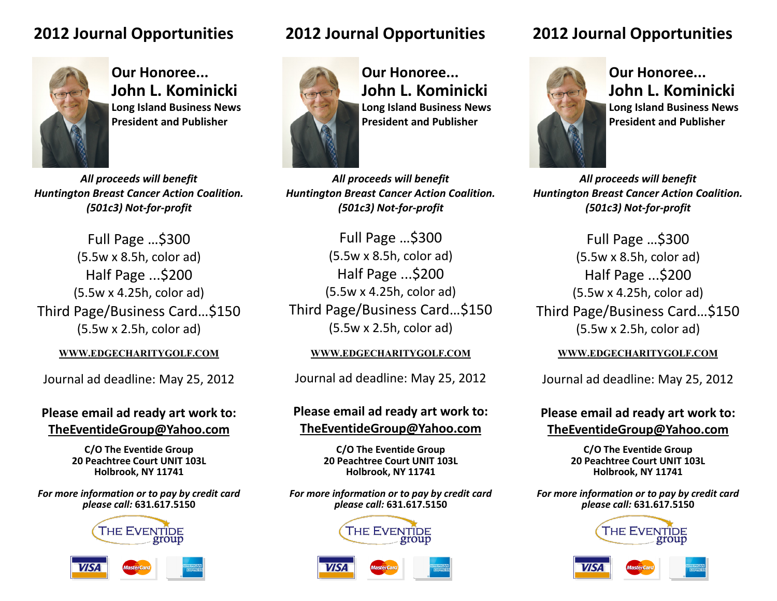## **2012 Journal Opportunities**



**Our Honoree... John L. Kominicki Long Island Business News President and Publisher**

*All proceeds will benefit Huntington Breast Cancer Action Coalition. (501c3) Not-for-profit*

Full Page …\$300 (5.5w x 8.5h, color ad) Half Page ...\$200 (5.5w x 4.25h, color ad) Third Page/Business Card…\$150 (5.5w x 2.5h, color ad)

Journal ad deadline: May 25, 2012

### **Please email ad ready art work to: TheEventideGroup@Yahoo.com**

**C/O The Eventide Group 20 Peachtree Court UNIT 103L Holbrook, NY 11741**

*For more information or to pay by credit card please call:* **631.617.5150**





# **2012 Journal Opportunities**



**Our Honoree... John L. Kominicki Long Island Business News President and Publisher**

*All proceeds will benefit Huntington Breast Cancer Action Coalition. (501c3) Not-for-profit*

Full Page …\$300 (5.5w x 8.5h, color ad) Half Page ...\$200 (5.5w x 4.25h, color ad) Third Page/Business Card…\$150 (5.5w x 2.5h, color ad)

Journal ad deadline: May 25, 2012

## **Please email ad ready art work to: TheEventideGroup@Yahoo.com**

**C/O The Eventide Group 20 Peachtree Court UNIT 103L Holbrook, NY 11741**

*For more information or to pay by credit card please call:* **631.617.5150**





# **2012 Journal Opportunities**



**Our Honoree... John L. Kominicki Long Island Business News President and Publisher**

*All proceeds will benefit Huntington Breast Cancer Action Coalition. (501c3) Not-for-profit*

Full Page …\$300 (5.5w x 8.5h, color ad) Half Page ...\$200 (5.5w x 4.25h, color ad) Third Page/Business Card…\$150 (5.5w x 2.5h, color ad)

### **WWW.EDGECHARITYGOLF.COM WWW.EDGECHARITYGOLF.COM WWW.EDGECHARITYGOLF.COM**

Journal ad deadline: May 25, 2012

## **Please email ad ready art work to: TheEventideGroup@Yahoo.com**

**C/O The Eventide Group 20 Peachtree Court UNIT 103L Holbrook, NY 11741**

*For more information or to pay by credit card please call:* **631.617.5150**